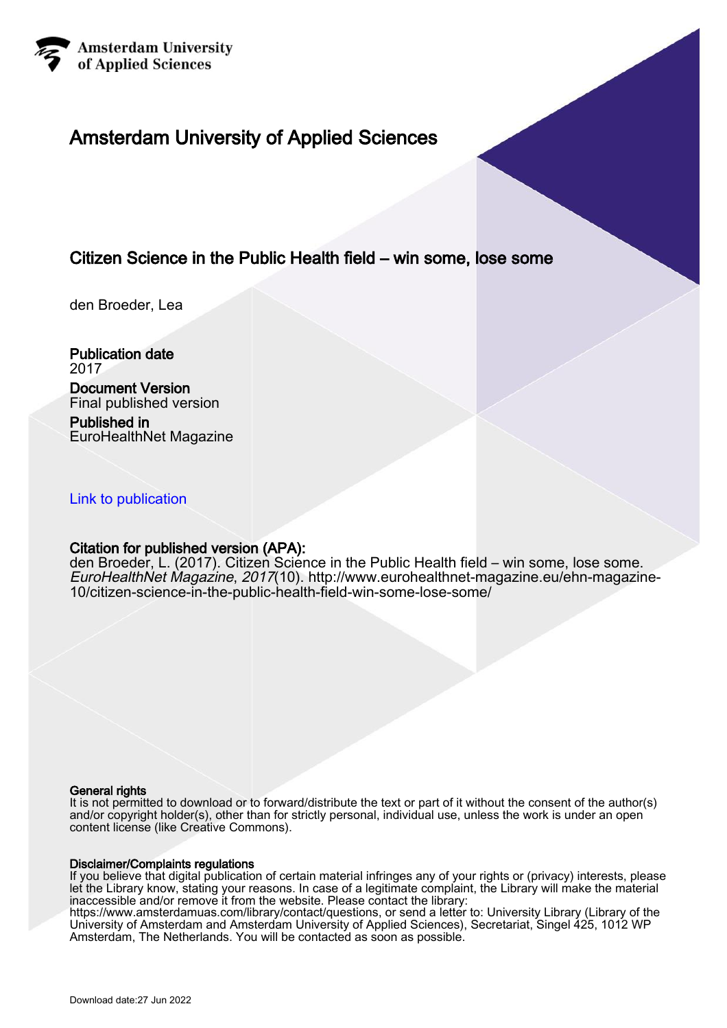

# Amsterdam University of Applied Sciences

### Citizen Science in the Public Health field – win some, lose some

den Broeder, Lea

Publication date 2017

### Document Version

Final published version

Published in EuroHealthNet Magazine

### [Link to publication](https://research.hva.nl/en/publications/082da32e-d9c6-463d-92f1-fbb1b01fea65)

### Citation for published version (APA):

den Broeder, L. (2017). Citizen Science in the Public Health field – win some, lose some. EuroHealthNet Magazine, 2017(10). [http://www.eurohealthnet-magazine.eu/ehn-magazine-](http://www.eurohealthnet-magazine.eu/ehn-magazine-10/citizen-science-in-the-public-health-field-win-some-lose-some/)[10/citizen-science-in-the-public-health-field-win-some-lose-some/](http://www.eurohealthnet-magazine.eu/ehn-magazine-10/citizen-science-in-the-public-health-field-win-some-lose-some/)

#### General rights

It is not permitted to download or to forward/distribute the text or part of it without the consent of the author(s) and/or copyright holder(s), other than for strictly personal, individual use, unless the work is under an open content license (like Creative Commons).

### Disclaimer/Complaints regulations

If you believe that digital publication of certain material infringes any of your rights or (privacy) interests, please let the Library know, stating your reasons. In case of a legitimate complaint, the Library will make the material inaccessible and/or remove it from the website. Please contact the library:

https://www.amsterdamuas.com/library/contact/questions, or send a letter to: University Library (Library of the University of Amsterdam and Amsterdam University of Applied Sciences), Secretariat, Singel 425, 1012 WP Amsterdam, The Netherlands. You will be contacted as soon as possible.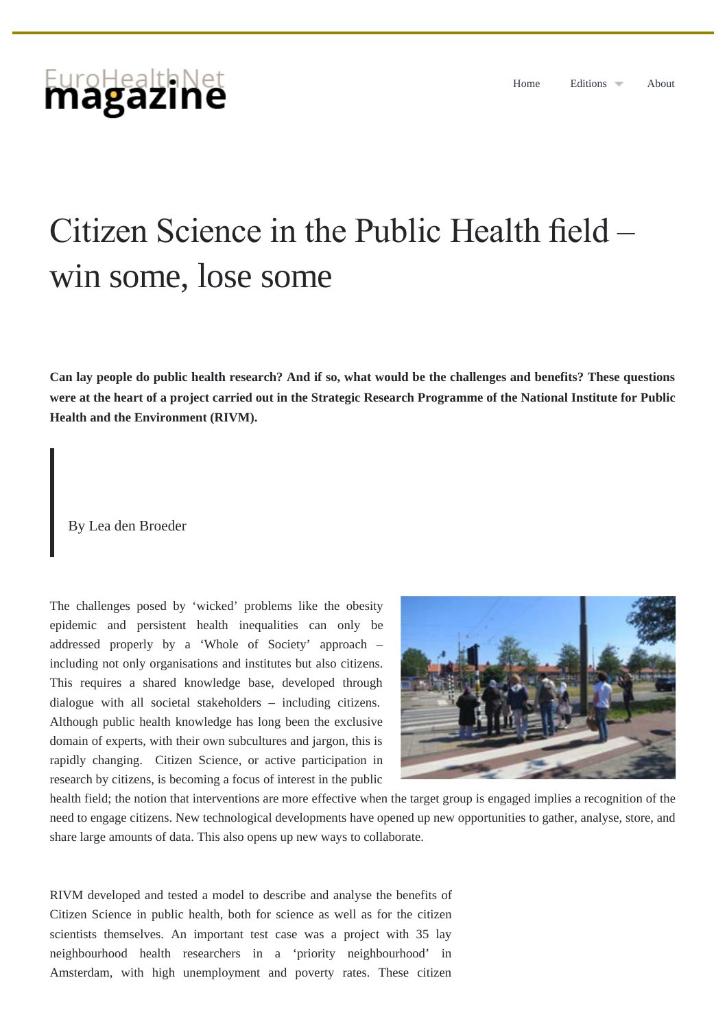# <span id="page-1-0"></span>EuroHealthNet

# Citizen Science in the Public Health feld – win some, lose some

**Can lay people do public health research? And if so, what would be the challenges and benefits? These questions were at the heart of a project carried out in the Strategic Research Programme of the National Institute for Public Health and the Environment (RIVM).**

By Lea den Broeder

The challenges posed by 'wicked' problems like the obesity epidemic and persistent health inequalities can only be addressed properly by a 'Whole of Society' approach – including not only organisations and institutes but also citizens. This requires a shared knowledge base, developed through dialogue with all societal stakeholders – including citizens. Although public health knowledge has long been the exclusive domain of experts, with their own subcultures and jargon, this is rapidly changing. Citizen Science, or active participation in research by citizens, is becoming a focus of interest in the public



health field; the notion that interventions are more effective when the target group is engaged implies a recognition of the need to engage citizens. New technological developments have opened up new opportunities to gather, analyse, store, and share large amounts of data. This also opens up new ways to collaborate.

RIVM developed and tested a model to describe and analyse the benefits of Citizen Science in public health, both for science as well as for the citizen scientists themselves. An important test case was a project with 35 lay neighbourhood health researchers in a 'priority neighbourhood' in Amsterdam, with high unemployment and poverty rates. These citizen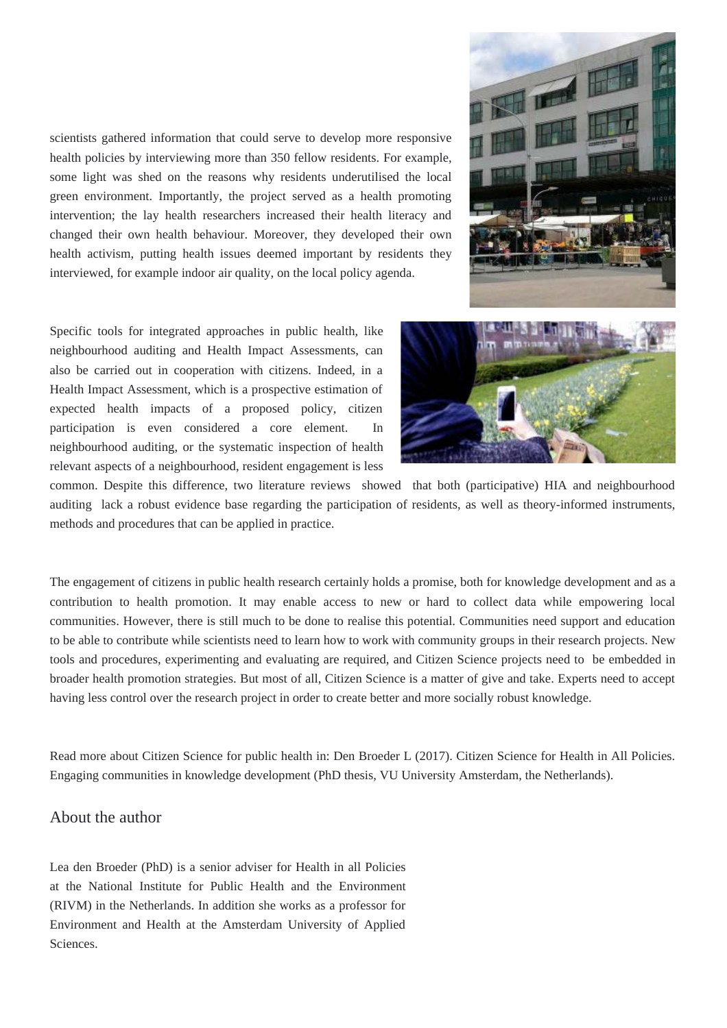scientists gathered information that could serve to develop more responsive health policies by interviewing more than 350 fellow residents. For example, some light was shed on the reasons why residents underutilised the local green environment. Importantly, the project served as a health promoting intervention; the lay health researchers increased their health literacy and changed their own health behaviour. Moreover, they developed their own health activism, putting health issues deemed important by residents they interviewed, for example indoor air quality, on the local policy agenda.



Specific tools for integrated approaches in public health, like neighbourhood auditing and Health Impact Assessments, can also be carried out in cooperation with citizens. Indeed, in a Health Impact Assessment, which is a prospective estimation of expected health impacts of a proposed policy, citizen participation is even considered a core element. In neighbourhood auditing, or the systematic inspection of health relevant aspects of a neighbourhood, resident engagement is less



common. Despite this difference, two literature reviews showed that both (participative) HIA and neighbourhood auditing lack a robust evidence base regarding the participation of residents, as well as theory-informed instruments, methods and procedures that can be applied in practice.

The engagement of citizens in public health research certainly holds a promise, both for knowledge development and as a contribution to health promotion. It may enable access to new or hard to collect data while empowering local communities. However, there is still much to be done to realise this potential. Communities need support and education to be able to contribute while scientists need to learn how to work with community groups in their research projects. New tools and procedures, experimenting and evaluating are required, and Citizen Science projects need to be embedded in broader health promotion strategies. But most of all, Citizen Science is a matter of give and take. Experts need to accept having less control over the research project in order to create better and more socially robust knowledge.

Read more about Citizen Science for public health in: Den Broeder L (2017). Citizen Science for Health in All Policies. Engaging communities in knowledge development (PhD thesis, VU University Amsterdam, the Netherlands).

### About the author

Lea den Broeder (PhD) is a senior adviser for Health in all Policies at the National Institute for Public Health and the Environment (RIVM) in the Netherlands. In addition she works as a professor for Environment and Health at the Amsterdam University of Applied Sciences.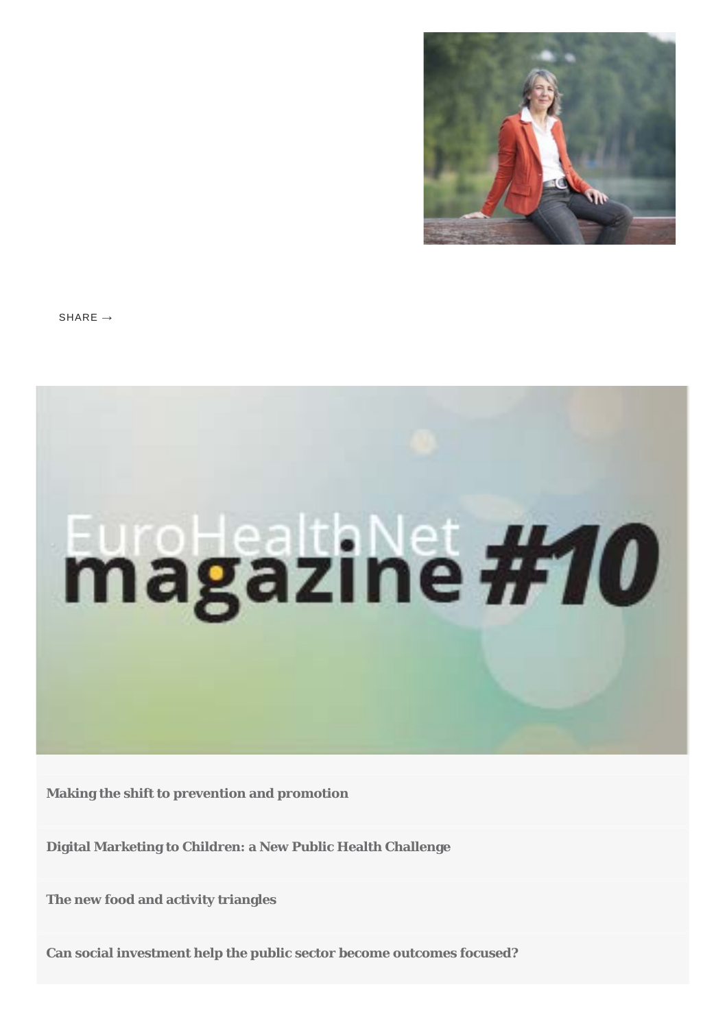

 $SHARF \rightarrow$ 



**[Making the shift to prevention and promotion](http://www.eurohealthnet-magazine.eu/ehn-magazine-10/making-the-shift-to-prevention-and-promotion/)**

**[Digital Marketing to Children: a New Public Health Challenge](http://www.eurohealthnet-magazine.eu/ehn-magazine-10/digital-marketing-to-children-a-new-public-health-challenge/)**

**[The new food and activity triangles](http://www.eurohealthnet-magazine.eu/ehn-magazine-10/the-new-food-and-activity-triangles/)**

**[Can social investment help the public sector become outcomes focused?](http://www.eurohealthnet-magazine.eu/ehn-magazine-10/can-social-investment-help-the-public-sector-become-outcomes-focused/)**